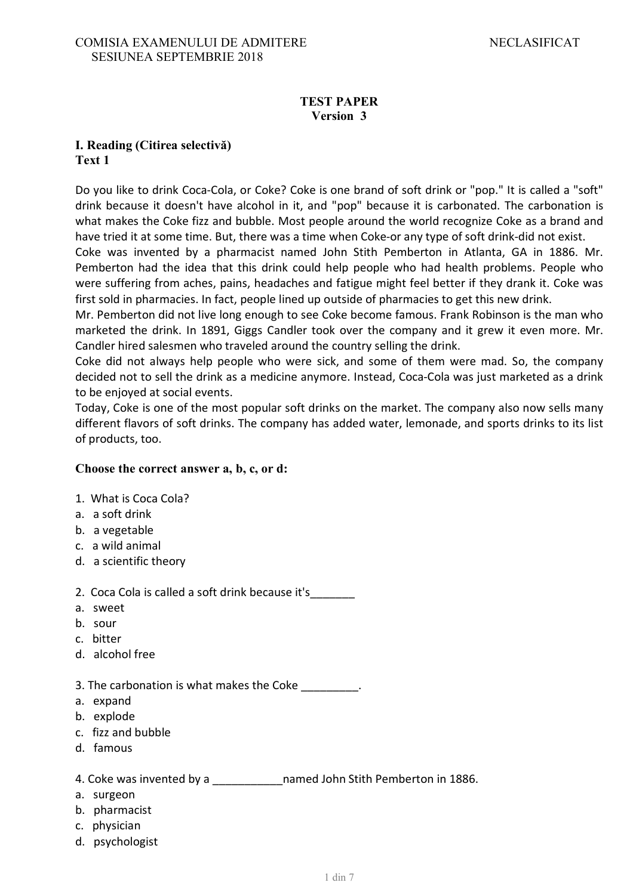### **TEST PAPER Version 3**

### **I. Reading (Citirea selectivă) Text 1**

Do you like to drink Coca-Cola, or Coke? Coke is one brand of soft drink or "pop." It is called a "soft" drink because it doesn't have alcohol in it, and "pop" because it is carbonated. The carbonation is what makes the Coke fizz and bubble. Most people around the world recognize Coke as a brand and have tried it at some time. But, there was a time when Coke-or any type of soft drink-did not exist.

Coke was invented by a pharmacist named John Stith Pemberton in Atlanta, GA in 1886. Mr. Pemberton had the idea that this drink could help people who had health problems. People who were suffering from aches, pains, headaches and fatigue might feel better if they drank it. Coke was first sold in pharmacies. In fact, people lined up outside of pharmacies to get this new drink.

Mr. Pemberton did not live long enough to see Coke become famous. Frank Robinson is the man who marketed the drink. In 1891, Giggs Candler took over the company and it grew it even more. Mr. Candler hired salesmen who traveled around the country selling the drink.

Coke did not always help people who were sick, and some of them were mad. So, the company decided not to sell the drink as a medicine anymore. Instead, Coca-Cola was just marketed as a drink to be enjoyed at social events.

Today, Coke is one of the most popular soft drinks on the market. The company also now sells many different flavors of soft drinks. The company has added water, lemonade, and sports drinks to its list of products, too.

### **Choose the correct answer a, b, c, or d:**

- 1. What is Coca Cola?
- a. a soft drink
- b. a vegetable
- c. a wild animal
- d. a scientific theory
- 2. Coca Cola is called a soft drink because it's\_\_\_\_\_\_\_
- a. sweet
- b. sour
- c. bitter
- d. alcohol free
- 3. The carbonation is what makes the Coke  $\qquad \qquad$ .
- a. expand
- b. explode
- c. fizz and bubble
- d. famous

4. Coke was invented by a \_\_\_\_\_\_\_\_\_\_\_\_\_\_\_named John Stith Pemberton in 1886.

- a. surgeon
- b. pharmacist
- c. physician
- d. psychologist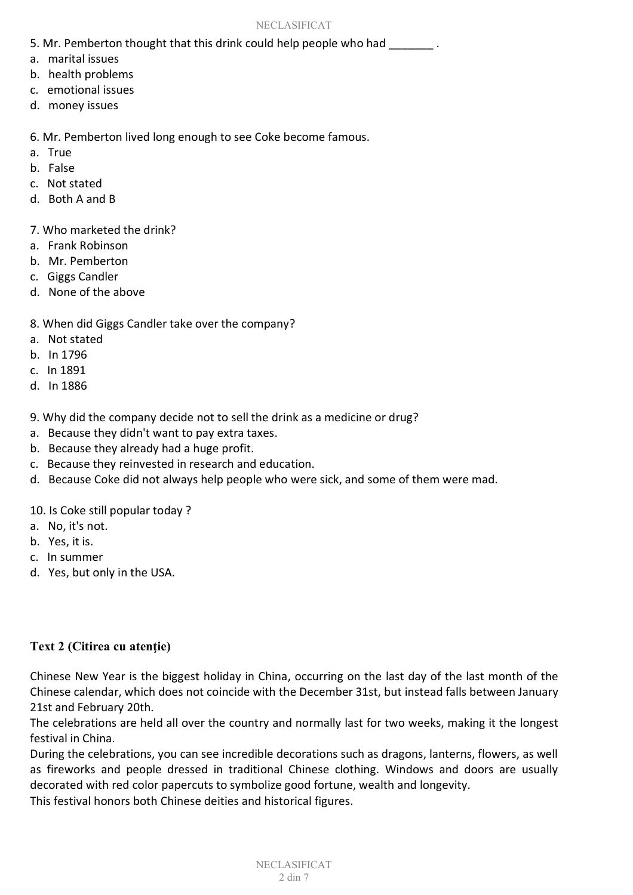- 5. Mr. Pemberton thought that this drink could help people who had  $\qquad \qquad$ .
- a. marital issues
- b. health problems
- c. emotional issues
- d. money issues

6. Mr. Pemberton lived long enough to see Coke become famous.

- a. True
- b. False
- c. Not stated
- d. Both A and B

7. Who marketed the drink?

- a. Frank Robinson
- b. Mr. Pemberton
- c. Giggs Candler
- d. None of the above
- 8. When did Giggs Candler take over the company?
- a. Not stated
- b. In 1796
- c. In 1891
- d. In 1886
- 9. Why did the company decide not to sell the drink as a medicine or drug?
- a. Because they didn't want to pay extra taxes.
- b. Because they already had a huge profit.
- c. Because they reinvested in research and education.
- d. Because Coke did not always help people who were sick, and some of them were mad.

10. Is Coke still popular today ?

- a. No, it's not.
- b. Yes, it is.
- c. In summer
- d. Yes, but only in the USA.

### Text 2 (Citirea cu atentie)

Chinese New Year is the biggest holiday in China, occurring on the last day of the last month of the Chinese calendar, which does not coincide with the December 31st, but instead falls between January 21st and February 20th.

The celebrations are held all over the country and normally last for two weeks, making it the longest festival in China.

During the celebrations, you can see incredible decorations such as dragons, lanterns, flowers, as well as fireworks and people dressed in traditional Chinese clothing. Windows and doors are usually decorated with red color papercuts to symbolize good fortune, wealth and longevity.

This festival honors both Chinese deities and historical figures.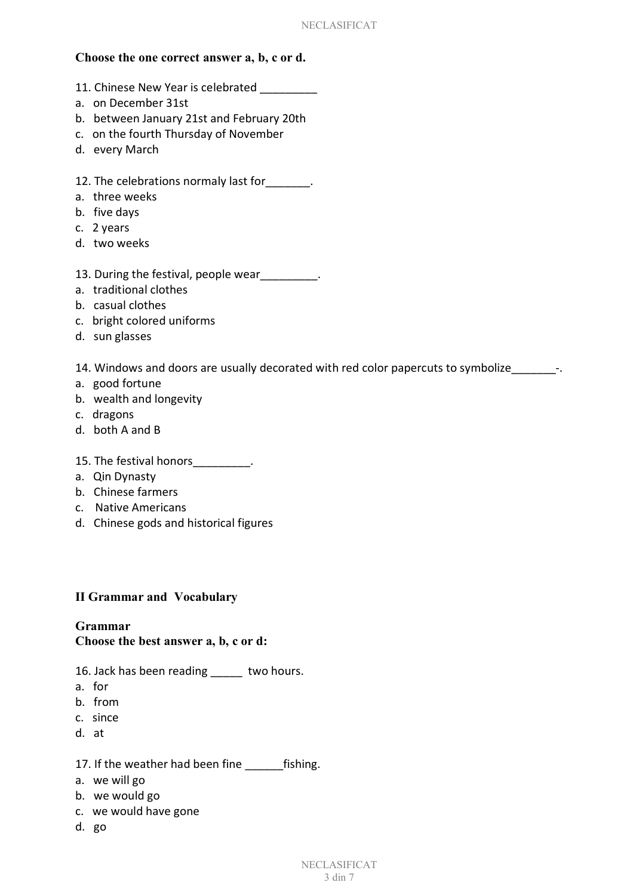### **Choose the one correct answer a, b, c or d.**

- 11. Chinese New Year is celebrated
- a. on December 31st
- b. between January 21st and February 20th
- c. on the fourth Thursday of November
- d. every March
- 12. The celebrations normaly last for  $\qquad \qquad$ .
- a. three weeks
- b. five days
- c. 2 years
- d. two weeks
- 13. During the festival, people wear example.
- a. traditional clothes
- b. casual clothes
- c. bright colored uniforms
- d. sun glasses

14. Windows and doors are usually decorated with red color papercuts to symbolize  $\qquad -1$ .

- a. good fortune
- b. wealth and longevity
- c. dragons
- d. both A and B
- 15. The festival honors\_\_\_\_\_\_\_\_\_.
- a. Qin Dynasty
- b. Chinese farmers
- c. Native Americans
- d. Chinese gods and historical figures

### **II Grammar and Vocabulary**

# **Grammar**

### **Choose the best answer a, b, c or d:**

- 16. Jack has been reading two hours.
- a. for
- b. from
- c. since
- d. at

#### 17. If the weather had been fine fishing.

- a. we will go
- b. we would go
- c. we would have gone
- d. go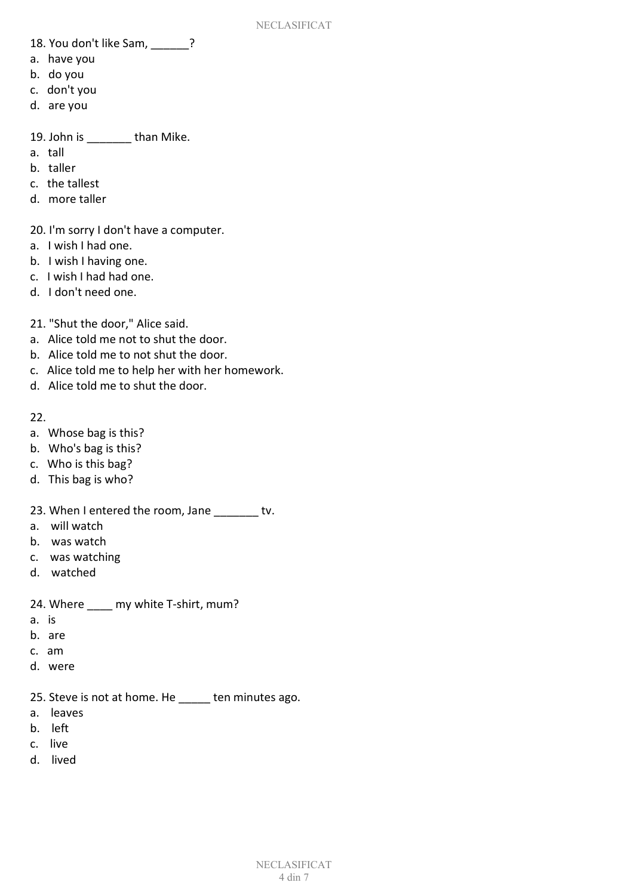- 18. You don't like Sam, ?
- a. have you
- b. do you
- c. don't you
- d. are you

19. John is \_\_\_\_\_\_\_ than Mike.

- a. tall
- b. taller
- c. the tallest
- d. more taller
- 20. I'm sorry I don't have a computer.
- a. I wish I had one.
- b. I wish I having one.
- c. I wish I had had one.
- d. I don't need one.
- 21. "Shut the door," Alice said.
- a. Alice told me not to shut the door.
- b. Alice told me to not shut the door.
- c. Alice told me to help her with her homework.
- d. Alice told me to shut the door.

22.

- a. Whose bag is this?
- b. Who's bag is this?
- c. Who is this bag?
- d. This bag is who?
- 23. When I entered the room, Jane \_\_\_\_\_\_\_ tv.
- a. will watch
- b. was watch
- c. was watching
- d. watched

24. Where my white T-shirt, mum?

- a. is
- b. are
- c. am
- d. were
- 25. Steve is not at home. He \_\_\_\_\_ ten minutes ago.
- a. leaves
- b. left
- c. live
- d. lived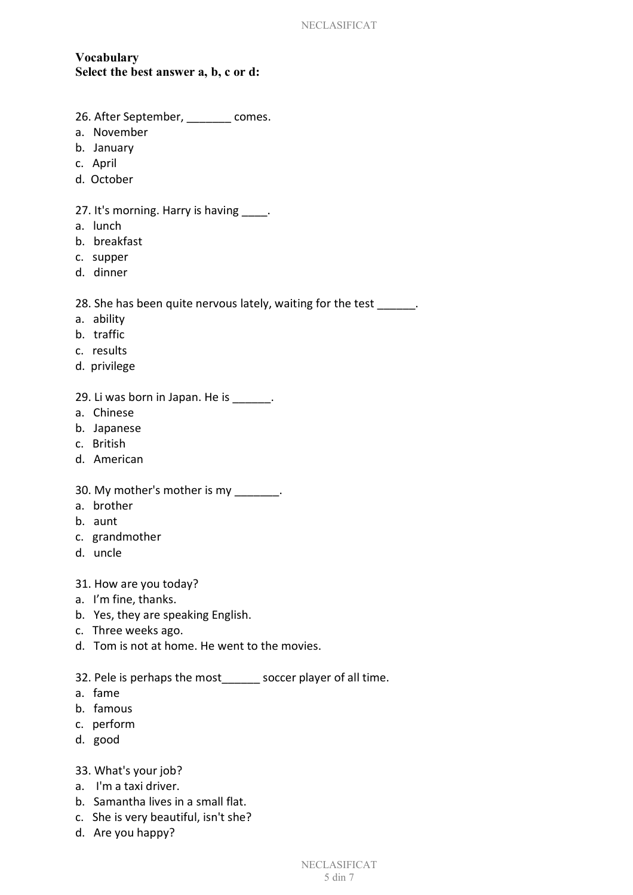## **Vocabulary Select the best answer a, b, c or d:**

- 26. After September, \_\_\_\_\_\_\_ comes.
- a. November
- b. January
- c. April
- d. October

### 27. It's morning. Harry is having \_\_\_\_.

- a. lunch
- b. breakfast
- c. supper
- d. dinner

### 28. She has been quite nervous lately, waiting for the test \_\_\_\_\_\_.

- a. ability
- b. traffic
- c. results
- d. privilege

### 29. Li was born in Japan. He is \_\_\_\_\_\_.

- a. Chinese
- b. Japanese
- c. British
- d. American

#### 30. My mother's mother is my  $\qquad \qquad$ .

- a. brother
- b. aunt
- c. grandmother
- d. uncle
- 31. How are you today?
- a. I'm fine, thanks.
- b. Yes, they are speaking English.
- c. Three weeks ago.
- d. Tom is not at home. He went to the movies.

32. Pele is perhaps the most\_\_\_\_\_\_ soccer player of all time.

- a. fame
- b. famous
- c. perform
- d. good

#### 33. What's your job?

- a. I'm a taxi driver.
- b. Samantha lives in a small flat.
- c. She is very beautiful, isn't she?
- d. Are you happy?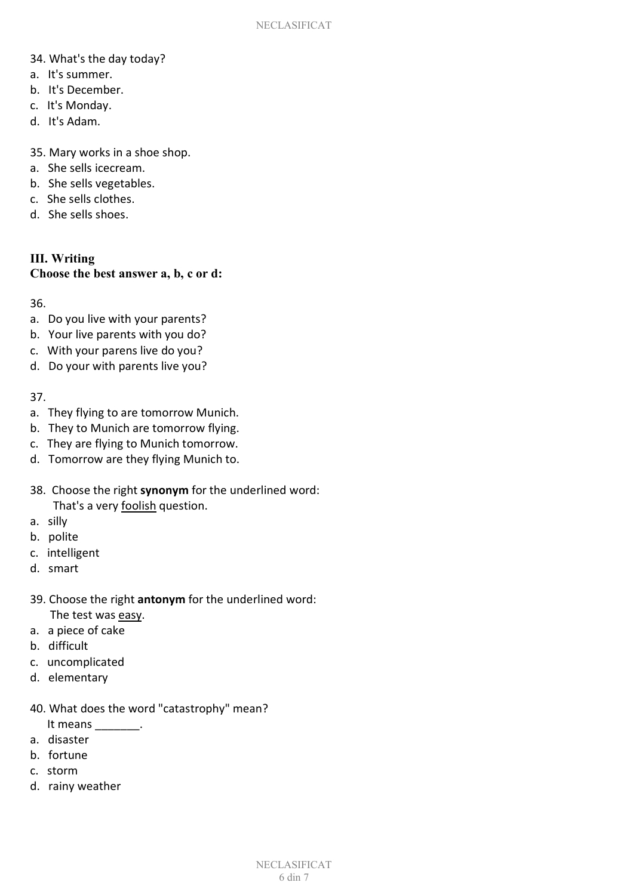- 34. What's the day today?
- a. It's summer.
- b. It's December.
- c. It's Monday.
- d. It's Adam.

35. Mary works in a shoe shop.

- a. She sells icecream.
- b. She sells vegetables.
- c. She sells clothes.
- d. She sells shoes.

# **III. Writing Choose the best answer a, b, c or d:**

36.

- a. Do you live with your parents?
- b. Your live parents with you do?
- c. With your parens live do you?
- d. Do your with parents live you?

37.

- a. They flying to are tomorrow Munich.
- b. They to Munich are tomorrow flying.
- c. They are flying to Munich tomorrow.
- d. Tomorrow are they flying Munich to.
- 38. Choose the right **synonym** for the underlined word: That's a very foolish question.
- a. silly
- b. polite
- c. intelligent
- d. smart
- 39. Choose the right **antonym** for the underlined word: The test was easy.
- a. a piece of cake
- b. difficult
- c. uncomplicated
- d. elementary
- 40. What does the word "catastrophy" mean?
- It means \_\_\_\_\_\_\_\_. a. disaster
- 
- b. fortune
- c. storm
- d. rainy weather